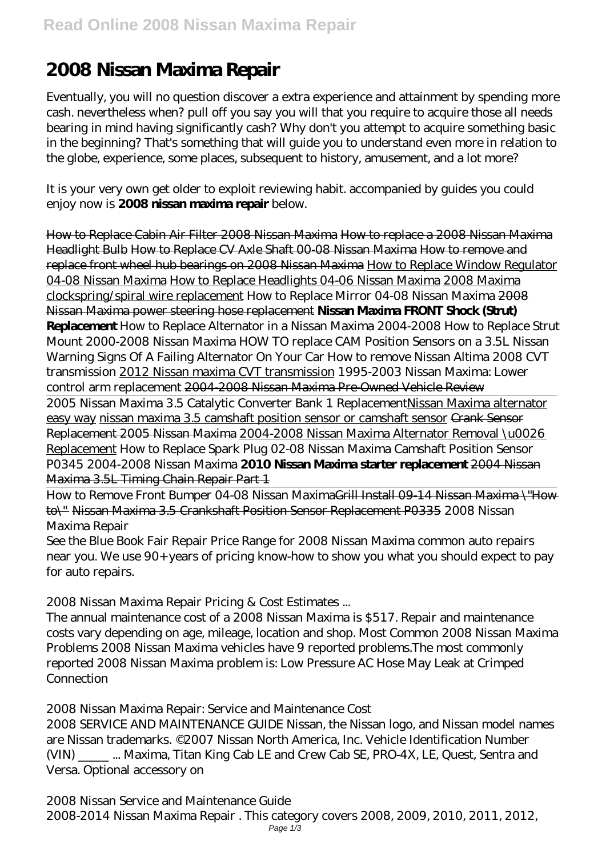## **2008 Nissan Maxima Repair**

Eventually, you will no question discover a extra experience and attainment by spending more cash. nevertheless when? pull off you say you will that you require to acquire those all needs bearing in mind having significantly cash? Why don't you attempt to acquire something basic in the beginning? That's something that will guide you to understand even more in relation to the globe, experience, some places, subsequent to history, amusement, and a lot more?

It is your very own get older to exploit reviewing habit. accompanied by guides you could enjoy now is **2008 nissan maxima repair** below.

How to Replace Cabin Air Filter 2008 Nissan Maxima How to replace a 2008 Nissan Maxima Headlight Bulb How to Replace CV Axle Shaft 00-08 Nissan Maxima How to remove and replace front wheel hub bearings on 2008 Nissan Maxima How to Replace Window Regulator 04-08 Nissan Maxima How to Replace Headlights 04-06 Nissan Maxima 2008 Maxima clockspring/spiral wire replacement *How to Replace Mirror 04-08 Nissan Maxima* 2008 Nissan Maxima power steering hose replacement **Nissan Maxima FRONT Shock (Strut) Replacement** *How to Replace Alternator in a Nissan Maxima 2004-2008 How to Replace Strut Mount 2000-2008 Nissan Maxima HOW TO replace CAM Position Sensors on a 3.5L Nissan Warning Signs Of A Failing Alternator On Your Car How to remove Nissan Altima 2008 CVT transmission* 2012 Nissan maxima CVT transmission *1995-2003 Nissan Maxima: Lower control arm replacement* 2004-2008 Nissan Maxima Pre-Owned Vehicle Review 2005 Nissan Maxima 3.5 Catalytic Converter Bank 1 ReplacementNissan Maxima alternator easy way nissan maxima 3.5 camshaft position sensor or camshaft sensor Crank Sensor Replacement 2005 Nissan Maxima 2004-2008 Nissan Maxima Alternator Removal \u0026 Replacement *How to Replace Spark Plug 02-08 Nissan Maxima Camshaft Position Sensor*

*P0345 2004-2008 Nissan Maxima* **2010 Nissan Maxima starter replacement** 2004 Nissan Maxima 3.5L Timing Chain Repair Part 1

How to Remove Front Bumper 04-08 Nissan MaximaGrill Install 09-14 Nissan Maxima \ "How to\" Nissan Maxima 3.5 Crankshaft Position Sensor Replacement P0335 2008 Nissan Maxima Repair

See the Blue Book Fair Repair Price Range for 2008 Nissan Maxima common auto repairs near you. We use 90+ years of pricing know-how to show you what you should expect to pay for auto repairs.

2008 Nissan Maxima Repair Pricing & Cost Estimates ...

The annual maintenance cost of a 2008 Nissan Maxima is \$517. Repair and maintenance costs vary depending on age, mileage, location and shop. Most Common 2008 Nissan Maxima Problems 2008 Nissan Maxima vehicles have 9 reported problems.The most commonly reported 2008 Nissan Maxima problem is: Low Pressure AC Hose May Leak at Crimped **Connection** 

2008 Nissan Maxima Repair: Service and Maintenance Cost

2008 SERVICE AND MAINTENANCE GUIDE Nissan, the Nissan logo, and Nissan model names are Nissan trademarks. ©2007 Nissan North America, Inc. Vehicle Identification Number (VIN) \_\_\_\_\_ ... Maxima, Titan King Cab LE and Crew Cab SE, PRO-4X, LE, Quest, Sentra and Versa. Optional accessory on

2008 Nissan Service and Maintenance Guide 2008-2014 Nissan Maxima Repair . This category covers 2008, 2009, 2010, 2011, 2012, Page  $1/3$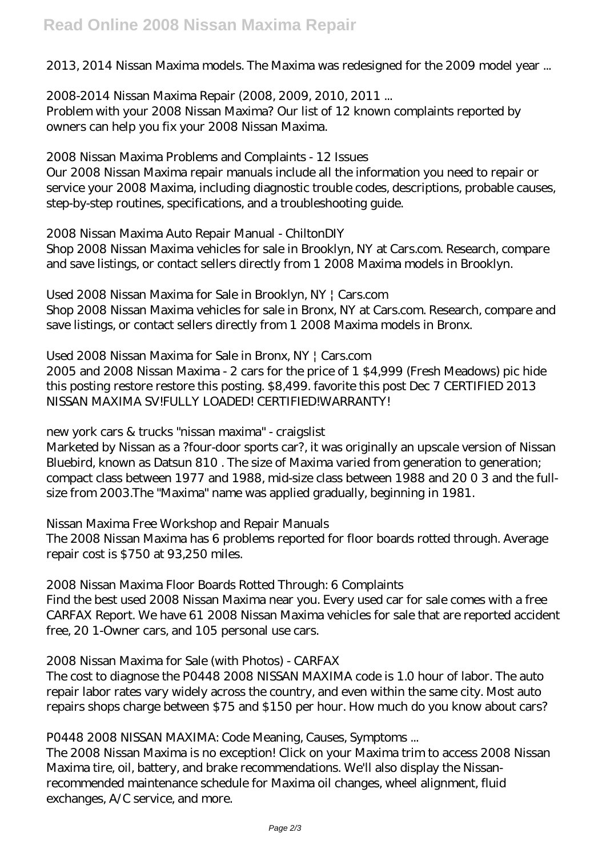2013, 2014 Nissan Maxima models. The Maxima was redesigned for the 2009 model year ...

2008-2014 Nissan Maxima Repair (2008, 2009, 2010, 2011 ... Problem with your 2008 Nissan Maxima? Our list of 12 known complaints reported by owners can help you fix your 2008 Nissan Maxima.

2008 Nissan Maxima Problems and Complaints - 12 Issues

Our 2008 Nissan Maxima repair manuals include all the information you need to repair or service your 2008 Maxima, including diagnostic trouble codes, descriptions, probable causes, step-by-step routines, specifications, and a troubleshooting guide.

2008 Nissan Maxima Auto Repair Manual - ChiltonDIY

Shop 2008 Nissan Maxima vehicles for sale in Brooklyn, NY at Cars.com. Research, compare and save listings, or contact sellers directly from 1 2008 Maxima models in Brooklyn.

Used 2008 Nissan Maxima for Sale in Brooklyn, NY | Cars.com Shop 2008 Nissan Maxima vehicles for sale in Bronx, NY at Cars.com. Research, compare and save listings, or contact sellers directly from 1 2008 Maxima models in Bronx.

Used 2008 Nissan Maxima for Sale in Bronx, NY | Cars.com 2005 and 2008 Nissan Maxima - 2 cars for the price of 1 \$4,999 (Fresh Meadows) pic hide this posting restore restore this posting. \$8,499. favorite this post Dec 7 CERTIFIED 2013 NISSAN MAXIMA SV!FULLY LOADED! CERTIFIED!WARRANTY!

new york cars & trucks "nissan maxima" - craigslist

Marketed by Nissan as a ?four-door sports car?, it was originally an upscale version of Nissan Bluebird, known as Datsun 810 . The size of Maxima varied from generation to generation; compact class between 1977 and 1988, mid-size class between 1988 and 20 0 3 and the fullsize from 2003.The "Maxima" name was applied gradually, beginning in 1981.

Nissan Maxima Free Workshop and Repair Manuals The 2008 Nissan Maxima has 6 problems reported for floor boards rotted through. Average repair cost is \$750 at 93,250 miles.

2008 Nissan Maxima Floor Boards Rotted Through: 6 Complaints Find the best used 2008 Nissan Maxima near you. Every used car for sale comes with a free CARFAX Report. We have 61 2008 Nissan Maxima vehicles for sale that are reported accident free, 20 1-Owner cars, and 105 personal use cars.

2008 Nissan Maxima for Sale (with Photos) - CARFAX

The cost to diagnose the P0448 2008 NISSAN MAXIMA code is 1.0 hour of labor. The auto repair labor rates vary widely across the country, and even within the same city. Most auto repairs shops charge between \$75 and \$150 per hour. How much do you know about cars?

P0448 2008 NISSAN MAXIMA: Code Meaning, Causes, Symptoms ...

The 2008 Nissan Maxima is no exception! Click on your Maxima trim to access 2008 Nissan Maxima tire, oil, battery, and brake recommendations. We'll also display the Nissanrecommended maintenance schedule for Maxima oil changes, wheel alignment, fluid exchanges, A/C service, and more.